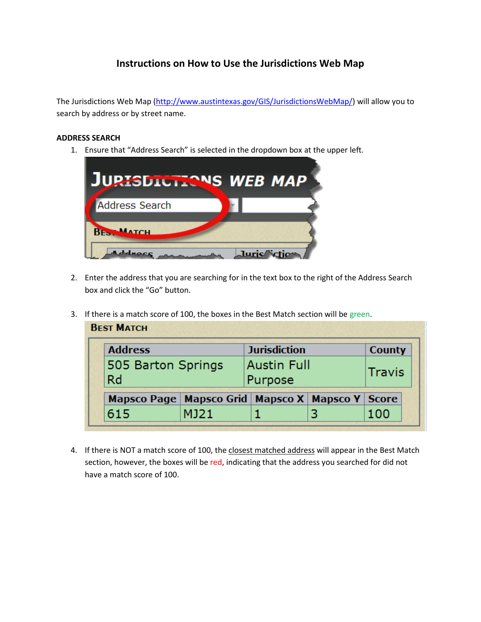## **Instructions on How to Use the Jurisdictions Web Map**

The Jurisdictions Web Map [\(http://www.austintexas.gov/GIS/JurisdictionsWebMap/\)](http://www.austintexas.gov/GIS/JurisdictionsWebMap/) will allow you to search by address or by street name.

## **ADDRESS SEARCH**

1. Ensure that "Address Search" is selected in the dropdown box at the upper left.



- 2. Enter the address that you are searching for in the text box to the right of the Address Search box and click the "Go" button.
- 3. If there is a match score of 100, the boxes in the Best Match section will be green.

| <b>Address</b>                                          |      | <b>Jurisdiction</b>           |  | <b>County</b> |
|---------------------------------------------------------|------|-------------------------------|--|---------------|
| 505 Barton Springs<br><b>Rd</b>                         |      | <b>Austin Full</b><br>Purpose |  | Travis        |
| Mapsco Page   Mapsco Grid   Mapsco X   Mapsco Y   Score |      |                               |  |               |
| 615                                                     | MJ21 |                               |  | 100           |

4. If there is NOT a match score of 100, the closest matched address will appear in the Best Match section, however, the boxes will be red, indicating that the address you searched for did not have a match score of 100.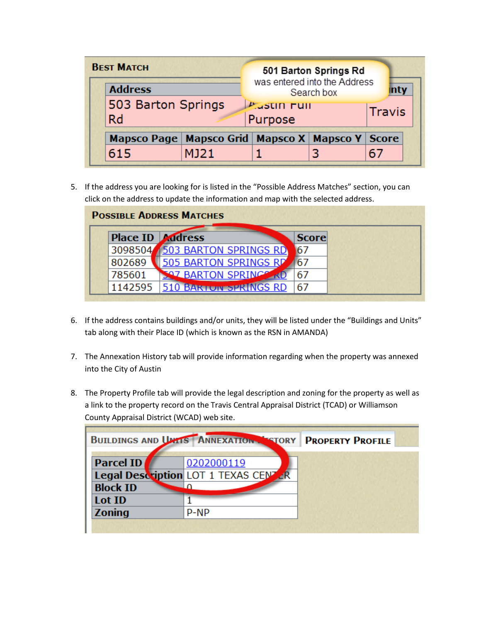| <b>BEST MATCH</b><br>501 Barton Springs Rd<br>was entered into the Address<br><b>Address</b><br>Search box |      | <b>inty</b>                                     |  |              |
|------------------------------------------------------------------------------------------------------------|------|-------------------------------------------------|--|--------------|
| 503 Barton Springs<br><b>Rd</b>                                                                            |      | <b>Prustin Full</b><br><b>Travis</b><br>Purpose |  |              |
| Mapsco Page   Mapsco Grid   Mapsco X   Mapsco Y                                                            |      |                                                 |  | <b>Score</b> |
| 615                                                                                                        | MJ21 |                                                 |  |              |

5. If the address you are looking for is listed in the "Possible Address Matches" section, you can click on the address to update the information and map with the selected address.

|                         | <b>POSSIBLE ADDRESS MATCHES</b> |              |  |
|-------------------------|---------------------------------|--------------|--|
| <b>Place ID Address</b> |                                 | <b>Score</b> |  |
| 3098504                 | <b>503 BARTON SPRINGS RD</b>    | 67           |  |
| 802689                  | 505 BARTON SPRINGS RD           | 67           |  |
| 785601                  | <b>SAZ BARTON SPRINGS</b>       | 67           |  |
| 1142595                 | <b>510 BARTON SPRINGS RD</b>    | 67           |  |

- 6. If the address contains buildings and/or units, they will be listed under the "Buildings and Units" tab along with their Place ID (which is known as the RSN in AMANDA)
- 7. The Annexation History tab will provide information regarding when the property was annexed into the City of Austin
- 8. The Property Profile tab will provide the legal description and zoning for the property as well as a link to the property record on the Travis Central Appraisal District (TCAD) or Williamson County Appraisal District (WCAD) web site.

|                 | BUILDINGS AND UNLIS ANNEXATION TORY  | <b>PROPERTY PROFILE</b> |
|-----------------|--------------------------------------|-------------------------|
| Parcel ID       | 0202000119                           |                         |
|                 | Legal Description LOT 1 TEXAS CENTER |                         |
| <b>Block ID</b> |                                      |                         |
| Lot ID          |                                      |                         |
| <b>Zoning</b>   | P-NP                                 |                         |
|                 |                                      |                         |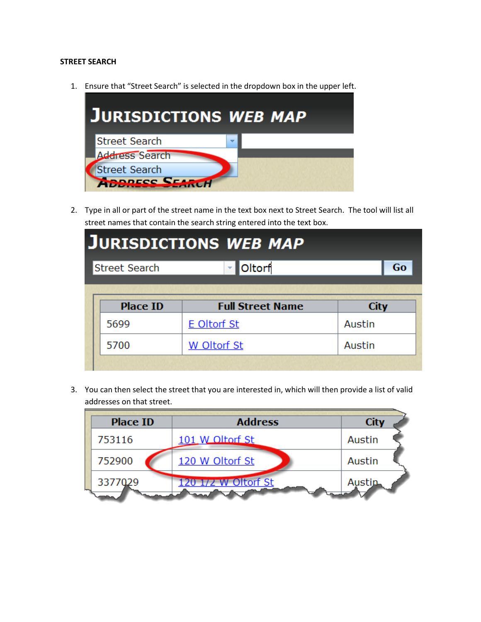## **STREET SEARCH**

1. Ensure that "Street Search" is selected in the dropdown box in the upper left.



2. Type in all or part of the street name in the text box next to Street Search. The tool will list all street names that contain the search string entered into the text box.

| <b>JURISDICTIONS WEB MAP</b> |                         |             |    |  |  |
|------------------------------|-------------------------|-------------|----|--|--|
| <b>Street Search</b>         | <b>Oltorf</b>           |             | Go |  |  |
|                              |                         |             |    |  |  |
| <b>Place ID</b>              | <b>Full Street Name</b> | <b>City</b> |    |  |  |
| 5699                         | <b>E</b> Oltorf St      | Austin      |    |  |  |
| 5700                         | W Oltorf St             | Austin      |    |  |  |
|                              |                         |             |    |  |  |

3. You can then select the street that you are interested in, which will then provide a list of valid addresses on that street.

| <b>Place ID</b> | <b>Address</b>      | <b>City</b> |
|-----------------|---------------------|-------------|
| 753116          | 101 W Oltorf St     | Austin      |
| 752900          | 120 W Oltorf St     | Austin      |
| 3377029         | 120 1/2 W Oltorf St | Austin      |